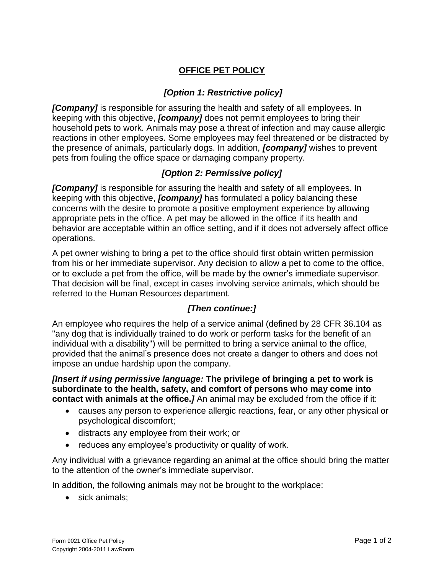## **OFFICE PET POLICY**

## *[Option 1: Restrictive policy]*

*[Company]* is responsible for assuring the health and safety of all employees. In keeping with this objective, *[company]* does not permit employees to bring their household pets to work. Animals may pose a threat of infection and may cause allergic reactions in other employees. Some employees may feel threatened or be distracted by the presence of animals, particularly dogs. In addition, *[company]* wishes to prevent pets from fouling the office space or damaging company property.

## *[Option 2: Permissive policy]*

*[Company]* is responsible for assuring the health and safety of all employees. In keeping with this objective, *[company]* has formulated a policy balancing these concerns with the desire to promote a positive employment experience by allowing appropriate pets in the office. A pet may be allowed in the office if its health and behavior are acceptable within an office setting, and if it does not adversely affect office operations.

A pet owner wishing to bring a pet to the office should first obtain written permission from his or her immediate supervisor. Any decision to allow a pet to come to the office, or to exclude a pet from the office, will be made by the owner's immediate supervisor. That decision will be final, except in cases involving service animals, which should be referred to the Human Resources department.

## *[Then continue:]*

An employee who requires the help of a service animal (defined by 28 CFR 36.104 as "any dog that is individually trained to do work or perform tasks for the benefit of an individual with a disability") will be permitted to bring a service animal to the office, provided that the animal's presence does not create a danger to others and does not impose an undue hardship upon the company.

*[Insert if using permissive language:* **The privilege of bringing a pet to work is subordinate to the health, safety, and comfort of persons who may come into contact with animals at the office.***]* An animal may be excluded from the office if it:

- causes any person to experience allergic reactions, fear, or any other physical or psychological discomfort;
- distracts any employee from their work; or
- reduces any employee's productivity or quality of work.

Any individual with a grievance regarding an animal at the office should bring the matter to the attention of the owner's immediate supervisor.

In addition, the following animals may not be brought to the workplace:

• sick animals: